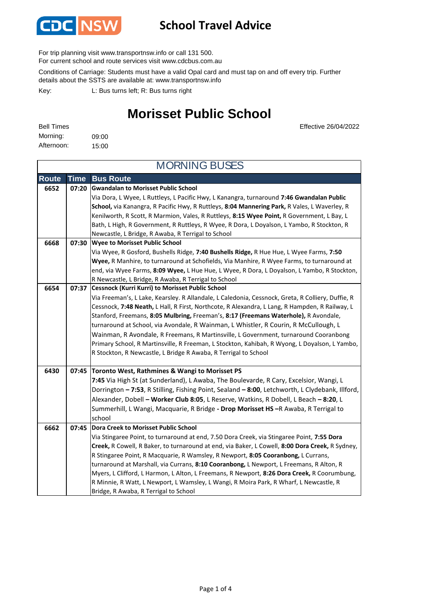

#### **School Travel Advice**

For trip planning visit www.transportnsw.info or call 131 500.

For current school and route services visit www.cdcbus.com.au

Conditions of Carriage: Students must have a valid Opal card and must tap on and off every trip. Further details about the SSTS are available at: www.transportnsw.info

L: Bus turns left; R: Bus turns right Key:

### **Morisset Public School**

Effective 26/04/2022

| <b>Bell Times</b> |       |
|-------------------|-------|
| Morning:          | 09:00 |
| Afternoon:        | 15:00 |

| <b>MORNING BUSES</b> |       |                                                                                                                                                                                            |
|----------------------|-------|--------------------------------------------------------------------------------------------------------------------------------------------------------------------------------------------|
| <b>Route</b>         | Time  | <b>Bus Route</b>                                                                                                                                                                           |
| 6652                 | 07:20 | <b>Gwandalan to Morisset Public School</b>                                                                                                                                                 |
|                      |       | Via Dora, L Wyee, L Ruttleys, L Pacific Hwy, L Kanangra, turnaround 7:46 Gwandalan Public                                                                                                  |
|                      |       | School, via Kanangra, R Pacific Hwy, R Ruttleys, 8:04 Mannering Park, R Vales, L Waverley, R<br>Kenilworth, R Scott, R Marmion, Vales, R Ruttleys, 8:15 Wyee Point, R Government, L Bay, L |
|                      |       | Bath, L High, R Government, R Ruttleys, R Wyee, R Dora, L Doyalson, L Yambo, R Stockton, R                                                                                                 |
|                      |       | Newcastle, L Bridge, R Awaba, R Terrigal to School                                                                                                                                         |
| 6668                 | 07:30 | <b>Wyee to Morisset Public School</b>                                                                                                                                                      |
|                      |       | Via Wyee, R Gosford, Bushells Ridge, 7:40 Bushells Ridge, R Hue Hue, L Wyee Farms, 7:50                                                                                                    |
|                      |       | Wyee, R Manhire, to turnaround at Schofields, Via Manhire, R Wyee Farms, to turnaround at                                                                                                  |
|                      |       | end, via Wyee Farms, 8:09 Wyee, L Hue Hue, L Wyee, R Dora, L Doyalson, L Yambo, R Stockton,                                                                                                |
|                      |       | R Newcastle, L Bridge, R Awaba, R Terrigal to School                                                                                                                                       |
| 6654                 | 07:37 | <b>Cessnock (Kurri Kurri) to Morisset Public School</b>                                                                                                                                    |
|                      |       | Via Freeman's, L Lake, Kearsley. R Allandale, L Caledonia, Cessnock, Greta, R Colliery, Duffie, R                                                                                          |
|                      |       | Cessnock, 7:48 Neath, L Hall, R First, Northcote, R Alexandra, L Lang, R Hampden, R Railway, L                                                                                             |
|                      |       | Stanford, Freemans, 8:05 Mulbring, Freeman's, 8:17 (Freemans Waterhole), R Avondale,                                                                                                       |
|                      |       | turnaround at School, via Avondale, R Wainman, L Whistler, R Courin, R McCullough, L<br>Wainman, R Avondale, R Freemans, R Martinsville, L Government, turnaround Cooranbong               |
|                      |       | Primary School, R Martinsville, R Freeman, L Stockton, Kahibah, R Wyong, L Doyalson, L Yambo,                                                                                              |
|                      |       | R Stockton, R Newcastle, L Bridge R Awaba, R Terrigal to School                                                                                                                            |
|                      |       |                                                                                                                                                                                            |
| 6430                 |       | 07:45 Toronto West, Rathmines & Wangi to Morisset PS                                                                                                                                       |
|                      |       | 7:45 Via High St (at Sunderland), L Awaba, The Boulevarde, R Cary, Excelsior, Wangi, L                                                                                                     |
|                      |       | Dorrington - 7:53, R Stilling, Fishing Point, Sealand - 8:00, Letchworth, L Clydebank, Illford,                                                                                            |
|                      |       | Alexander, Dobell - Worker Club 8:05, L Reserve, Watkins, R Dobell, L Beach - 8:20, L                                                                                                      |
|                      |       | Summerhill, L Wangi, Macquarie, R Bridge - Drop Morisset HS -R Awaba, R Terrigal to                                                                                                        |
|                      |       | school                                                                                                                                                                                     |
| 6662                 | 07:45 | <b>Dora Creek to Morisset Public School</b>                                                                                                                                                |
|                      |       | Via Stingaree Point, to turnaround at end, 7.50 Dora Creek, via Stingaree Point, 7:55 Dora                                                                                                 |
|                      |       | Creek, R Cowell, R Baker, to turnaround at end, via Baker, L Cowell, 8:00 Dora Creek, R Sydney,                                                                                            |
|                      |       | R Stingaree Point, R Macquarie, R Wamsley, R Newport, 8:05 Cooranbong, L Currans,<br>turnaround at Marshall, via Currans, 8:10 Cooranbong, L Newport, L Freemans, R Alton, R               |
|                      |       | Myers, L Clifford, L Harmon, L Alton, L Freemans, R Newport, 8:26 Dora Creek, R Coorumbung,                                                                                                |
|                      |       | R Minnie, R Watt, L Newport, L Wamsley, L Wangi, R Moira Park, R Wharf, L Newcastle, R                                                                                                     |
|                      |       | Bridge, R Awaba, R Terrigal to School                                                                                                                                                      |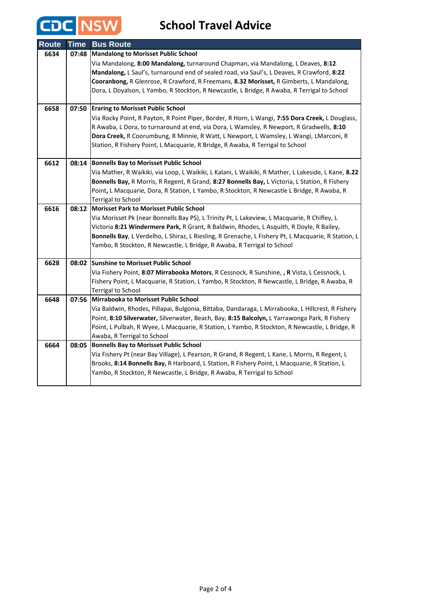# **CDC** NSW School Travel Advice

| Route | <b>Time</b> | <b>Bus Route</b>                                                                                                                                                                               |
|-------|-------------|------------------------------------------------------------------------------------------------------------------------------------------------------------------------------------------------|
| 6634  | 07:48       | <b>Mandalong to Morisset Public School</b>                                                                                                                                                     |
|       |             | Via Mandalong, 8:00 Mandalong, turnaround Chapman, via Mandalong, L Deaves, 8:12                                                                                                               |
|       |             | Mandalong, L Saul's, turnaround end of sealed road, via Saul's, L Deaves, R Crawford, 8:22                                                                                                     |
|       |             | Cooranbong, R Glenrose, R Crawford, R Freemans, 8.32 Morisset, R Gimberts, L Mandalong,                                                                                                        |
|       |             | Dora, L Doyalson, L Yambo, R Stockton, R Newcastle, L Bridge, R Awaba, R Terrigal to School                                                                                                    |
| 6658  | 07:50       | <b>Eraring to Morisset Public School</b>                                                                                                                                                       |
|       |             | Via Rocky Point, R Payton, R Point Piper, Border, R Horn, L Wangi, 7:55 Dora Creek, L Douglass,                                                                                                |
|       |             | R Awaba, L Dora, to turnaround at end, via Dora, L Wamsley, R Newport, R Gradwells, 8:10                                                                                                       |
|       |             | Dora Creek, R Coorumbung, R Minnie, R Watt, L Newport, L Wamsley, L Wangi, LMarconi, R                                                                                                         |
|       |             | Station, R Fishery Point, L Macquarie, R Bridge, R Awaba, R Terrigal to School                                                                                                                 |
| 6612  | 08:14       | <b>Bonnells Bay to Morisset Public School</b>                                                                                                                                                  |
|       |             | Via Mather, R Waikiki, via Loop, L Waikiki, L Kalani, L Waikiki, R Mather, L Lakeside, L Kane, 8.22                                                                                            |
|       |             | Bonnells Bay, R Morris, R Regent, R Grand, 8:27 Bonnells Bay, L Victoria, L Station, R Fishery                                                                                                 |
|       |             | Point, L Macquarie, Dora, R Station, L Yambo, R Stockton, R Newcastle L Bridge, R Awaba, R                                                                                                     |
|       |             | <b>Terrigal to School</b>                                                                                                                                                                      |
| 6616  |             | 08:12 Morisset Park to Morisset Public School                                                                                                                                                  |
|       |             | Via Morisset Pk (near Bonnells Bay PS), L Trinity Pt, L Lakeview, L Macquarie, R Chifley, L                                                                                                    |
|       |             | Victoria 8:21 Windermere Park, R Grant, R Baldwin, Rhodes, L Asquith, R Doyle, R Bailey,                                                                                                       |
|       |             | Bonnells Bay, L Verdelho, L Shiraz, L Riesling, R Grenache, L Fishery Pt, L Macquarie, R Station, L                                                                                            |
|       |             | Yambo, R Stockton, R Newcastle, L Bridge, R Awaba, R Terrigal to School                                                                                                                        |
| 6628  | 08:02       | <b>Sunshine to Morisset Public School</b>                                                                                                                                                      |
|       |             | Via Fishery Point, 8:07 Mirrabooka Motors, R Cessnock, R Sunshine, , R Vista, L Cessnock, L                                                                                                    |
|       |             | Fishery Point, L Macquarie, R Station, L Yambo, R Stockton, R Newcastle, L Bridge, R Awaba, R                                                                                                  |
|       |             | <b>Terrigal to School</b>                                                                                                                                                                      |
| 6648  | 07:56       | Mirrabooka to Morisset Public School                                                                                                                                                           |
|       |             | Via Baldwin, Rhodes, Pillapai, Bulgonia, Bittaba, Dandaraga, L Mirrabooka, L Hillcrest, R Fishery                                                                                              |
|       |             | Point, 8:10 Silverwater, Silverwater, Beach, Bay, 8:15 Balcolyn, L Yarrawonga Park, R Fishery                                                                                                  |
|       |             | Point, L Pulbah, R Wyee, L Macquarie, R Station, L Yambo, R Stockton, R Newcastle, L Bridge, R                                                                                                 |
|       |             | Awaba, R Terrigal to School                                                                                                                                                                    |
| 6664  | 08:05       | <b>Bonnells Bay to Morisset Public School</b>                                                                                                                                                  |
|       |             | Via Fishery Pt (near Bay Village), L Pearson, R Grand, R Regent, L Kane, L Morris, R Regent, L<br>Brooks, 8:14 Bonnells Bay, R Harboard, L Station, R Fishery Point, L Macquarie, R Station, L |
|       |             | Yambo, R Stockton, R Newcastle, L Bridge, R Awaba, R Terrigal to School                                                                                                                        |
|       |             |                                                                                                                                                                                                |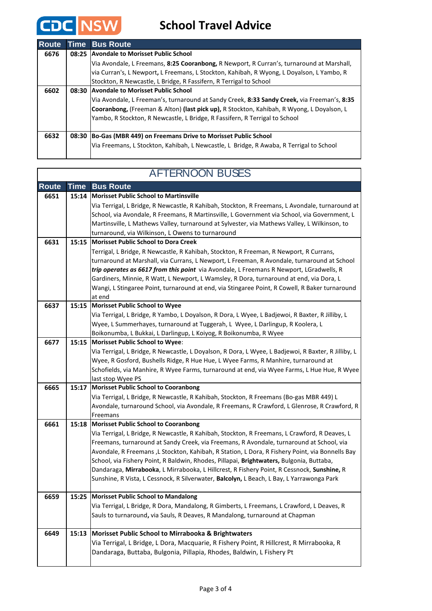

#### **School Travel Advice**

| <b>Route</b> |       | <b>Time Bus Route</b>                                                                       |
|--------------|-------|---------------------------------------------------------------------------------------------|
| 6676         |       | 08:25 Avondale to Morisset Public School                                                    |
|              |       | Via Avondale, L Freemans, 8:25 Cooranbong, R Newport, R Curran's, turnaround at Marshall,   |
|              |       | via Curran's, L Newport, L Freemans, L Stockton, Kahibah, R Wyong, L Doyalson, L Yambo, R   |
|              |       | Stockton, R Newcastle, L Bridge, R Fassifern, R Terrigal to School                          |
| 6602         | 08:30 | <b>Avondale to Morisset Public School</b>                                                   |
|              |       | Via Avondale, L Freeman's, turnaround at Sandy Creek, 8:33 Sandy Creek, via Freeman's, 8:35 |
|              |       | Cooranbong, (Freeman & Alton) (last pick up), R Stockton, Kahibah, R Wyong, L Doyalson, L   |
|              |       | Yambo, R Stockton, R Newcastle, L Bridge, R Fassifern, R Terrigal to School                 |
|              |       |                                                                                             |
| 6632         | 08:30 | Bo-Gas (MBR 449) on Freemans Drive to Morisset Public School                                |
|              |       | Via Freemans, L Stockton, Kahibah, L Newcastle, L Bridge, R Awaba, R Terrigal to School     |
|              |       |                                                                                             |

#### **Route Time Bus Route Morisset Public School to Martinsville 6651 15:14** Via Terrigal, L Bridge, R Newcastle, R Kahibah, Stockton, R Freemans, L Avondale, turnaround at School, via Avondale, R Freemans, R Martinsville, L Government via School, via Government, L Martinsville, L Mathews Valley, turnaround at Sylvester, via Mathews Valley, L Wilkinson, to turnaround, via Wilkinson, L Owens to turnaround **Morisset Public School to Dora Creek 6631 15:15** Terrigal, L Bridge, R Newcastle, R Kahibah, Stockton, R Freeman, R Newport, R Currans, turnaround at Marshall, via Currans, L Newport, L Freeman, R Avondale, turnaround at School *trip operates as 6617 from this point* via Avondale, L Freemans R Newport, LGradwells, R Gardiners, Minnie, R Watt, L Newport, L Wamsley, R Dora, turnaround at end, via Dora, L Wangi, L Stingaree Point, turnaround at end, via Stingaree Point, R Cowell, R Baker turnaround at end **Morisset Public School to Wyee 6637 15:15** Via Terrigal, L Bridge, R Yambo, L Doyalson, R Dora, L Wyee, L Badjewoi, R Baxter, R Jilliby, L Wyee, L Summerhayes, turnaround at Tuggerah, L Wyee, L Darlingup, R Koolera, L Boikonumba, L Bukkai, L Darlingup, L Koiyog, R Boikonumba, R Wyee **Morisset Public School to Wyee**: **6677 15:15** Via Terrigal, L Bridge, R Newcastle, L Doyalson, R Dora, L Wyee, L Badjewoi, R Baxter, R Jilliby, L Wyee, R Gosford, Bushells Ridge, R Hue Hue, L Wyee Farms, R Manhire, turnaround at Schofields, via Manhire, R Wyee Farms, turnaround at end, via Wyee Farms, L Hue Hue, R Wyee last stop Wyee PS **Morisset Public School to Cooranbong 6665 15:17** Via Terrigal, L Bridge, R Newcastle, R Kahibah, Stockton, R Freemans (Bo-gas MBR 449) L Avondale, turnaround School, via Avondale, R Freemans, R Crawford, L Glenrose, R Crawford, R Freemans **Morisset Public School to Cooranbong 6661 15:18** Via Terrigal, L Bridge, R Newcastle, R Kahibah, Stockton, R Freemans, L Crawford, R Deaves, L Freemans, turnaround at Sandy Creek, via Freemans, R Avondale, turnaround at School, via Avondale, R Freemans ,L Stockton, Kahibah, R Station, L Dora, R Fishery Point, via Bonnells Bay School, via Fishery Point, R Baldwin, Rhodes, Pillapai, **Brightwaters,** Bulgonia, Buttaba, Dandaraga, **Mirrabooka**, L Mirrabooka, L Hillcrest, R Fishery Point, R Cessnock, **Sunshine,** R Sunshine, R Vista, L Cessnock, R Silverwater, **Balcolyn,** L Beach, L Bay, L Yarrawonga Park **Morisset Public School to Mandalong** Via Terrigal, L Bridge, R Dora, Mandalong, R Gimberts, L Freemans, L Crawford, L Deaves, R Sauls to turnaround**,** via Sauls, R Deaves, R Mandalong, turnaround at Chapman **Morisset Public School to Mirrabooka & Brightwaters 6649 15:13** Via Terrigal, L Bridge, L Dora, Macquarie, R Fishery Point, R Hillcrest, R Mirrabooka, R Dandaraga, Buttaba, Bulgonia, Pillapia, Rhodes, Baldwin, L Fishery Pt **6659 15:25**

#### AFTERNOON BUSES